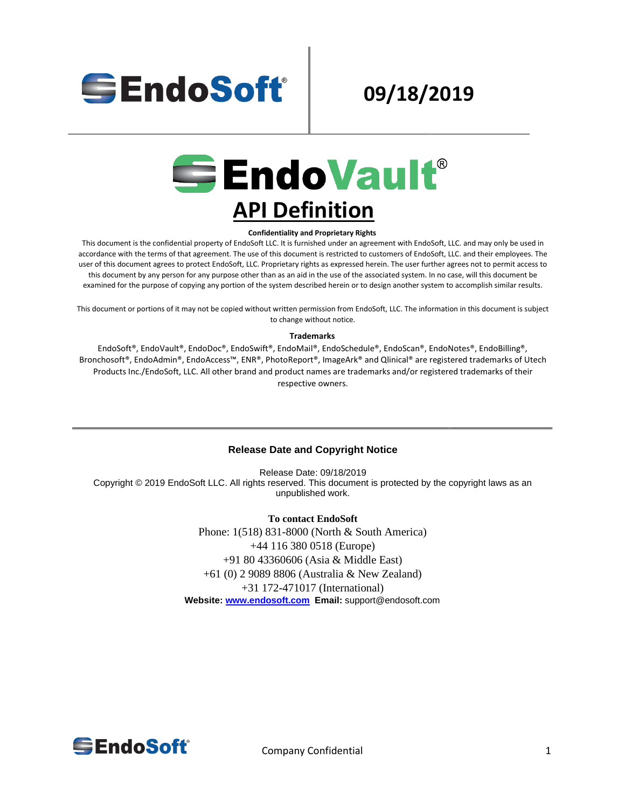

# **09/18/2019**



#### **Confidentiality and Proprietary Rights**

This document is the confidential property of EndoSoft LLC. It is furnished under an agreement with EndoSoft, LLC. and may only be used in accordance with the terms of that agreement. The use of this document is restricted to customers of EndoSoft, LLC. and their employees. The user of this document agrees to protect EndoSoft, LLC. Proprietary rights as expressed herein. The user further agrees not to permit access to this document by any person for any purpose other than as an aid in the use of the associated system. In no case, will this document be examined for the purpose of copying any portion of the system described herein or to design another system to accomplish similar results.

This document or portions of it may not be copied without written permission from EndoSoft, LLC. The information in this document is subject to change without notice.

#### **Trademarks**

EndoSoft®, EndoVault®, EndoDoc®, EndoSwift®, EndoMail®, EndoSchedule®, EndoScan®, EndoNotes®, EndoBilling®, Bronchosoft®, EndoAdmin®, EndoAccess™, ENR®, PhotoReport®, ImageArk® and Qlinical® are registered trademarks of Utech Products Inc./EndoSoft, LLC. All other brand and product names are trademarks and/or registered trademarks of their respective owners.

#### **Release Date and Copyright Notice**

Release Date: 09/18/2019 Copyright © 2019 EndoSoft LLC. All rights reserved. This document is protected by the copyright laws as an unpublished work.

> **To contact EndoSoft** Phone: 1(518) 831-8000 (North & South America) +44 116 380 0518 (Europe) +91 80 43360606 (Asia & Middle East) +61 (0) 2 9089 8806 (Australia & New Zealand) +31 172-471017 (International) **Website[:](http://www.endosoft.com/) [www.endosoft.com](http://www.endosoft.com/) Email:** support@endosoft.com

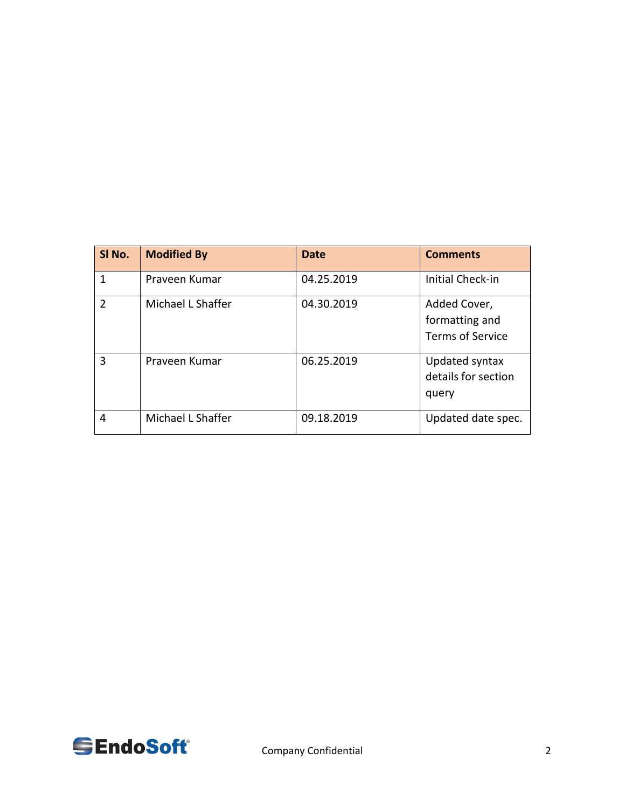| SI No.         | <b>Modified By</b> | Date       | <b>Comments</b>                                    |
|----------------|--------------------|------------|----------------------------------------------------|
| 1              | Prayeen Kumar      | 04.25.2019 | <b>Initial Check-in</b>                            |
| $\mathfrak{D}$ | Michael L Shaffer  | 04.30.2019 | Added Cover,<br>formatting and<br>Terms of Service |
| 3              | Praveen Kumar      | 06.25.2019 | Updated syntax<br>details for section<br>query     |
| 4              | Michael L Shaffer  | 09.18.2019 | Updated date spec.                                 |

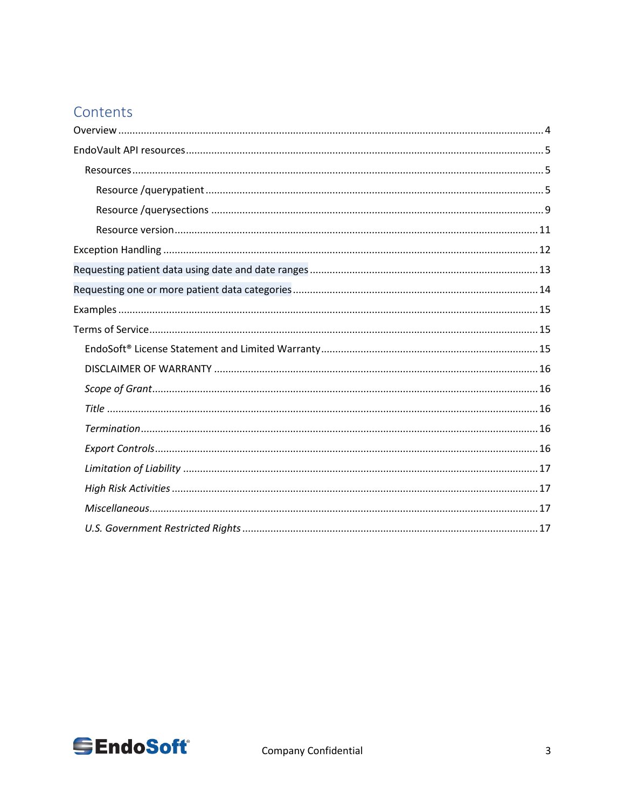# Contents

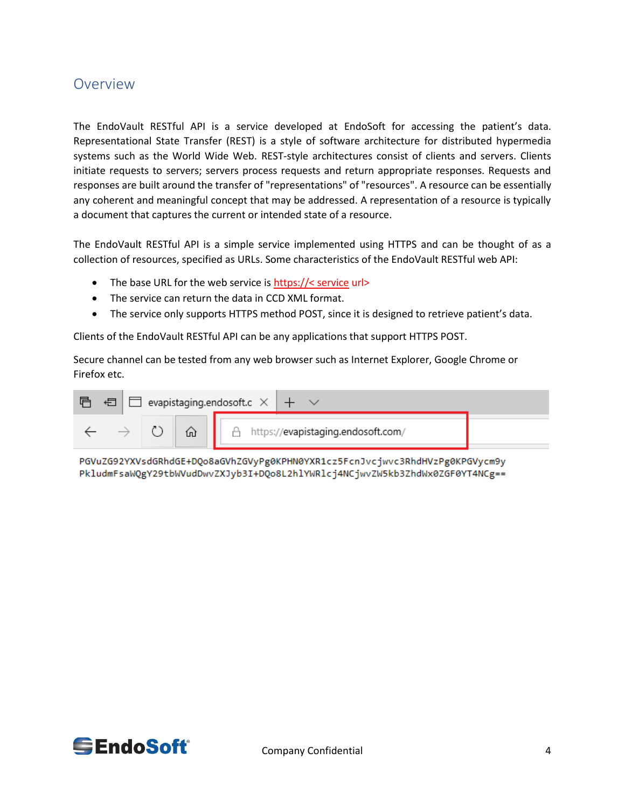## <span id="page-3-0"></span>Overview

The EndoVault RESTful API is a service developed at EndoSoft for accessing the patient's data. Representational State Transfer (REST) is a style of software architecture for distributed hypermedia systems such as the World Wide Web. REST-style architectures consist of clients and servers. Clients initiate requests to servers; servers process requests and return appropriate responses. Requests and responses are built around the transfer of "representations" of "resources". A resource can be essentially any coherent and meaningful concept that may be addressed. A representation of a resource is typically a document that captures the current or intended state of a resource.

The EndoVault RESTful API is a simple service implemented using HTTPS and can be thought of as a collection of resources, specified as URLs. Some characteristics of the EndoVault RESTful web API:

- The base URL for the web service is https://< service url>
- The service can return the data in CCD XML format.
- The service only supports HTTPS method POST, since it is designed to retrieve patient's data.

Clients of the EndoVault RESTful API can be any applications that support HTTPS POST.

Secure channel can be tested from any web browser such as Internet Explorer, Google Chrome or Firefox etc.

| € | $\Box$ evapistaging.endosoft.c $\times$ $\vert$ $\, +$ $\,$ |  |  |                                      |  |
|---|-------------------------------------------------------------|--|--|--------------------------------------|--|
|   | ί'n                                                         |  |  | A https://evapistaging.endosoft.com/ |  |

PGVuZG92YXVsdGRhdGE+DQo8aGVhZGVyPg0KPHN0YXR1cz5FcnJvcjwvc3RhdHVzPg0KPGVycm9y PkludmFsaWQgY29tbWVudDwvZXJyb3I+DQo8L2hlYWRlcj4NCjwvZW5kb3ZhdWx0ZGF0YT4NCg==

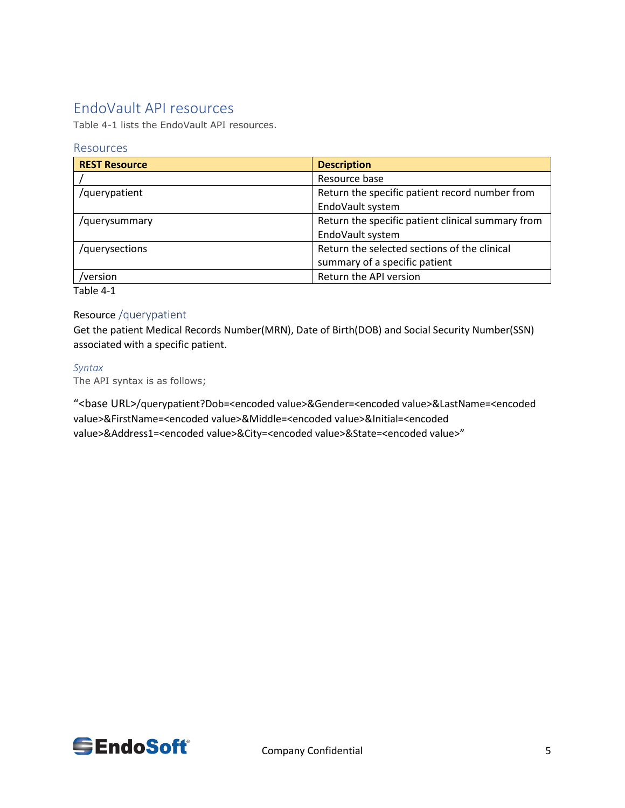## <span id="page-4-0"></span>EndoVault API resources

Table 4-1 lists the EndoVault API resources.

## <span id="page-4-1"></span>Resources

| <b>REST Resource</b> | <b>Description</b>                                |
|----------------------|---------------------------------------------------|
|                      | Resource base                                     |
| /querypatient        | Return the specific patient record number from    |
|                      | EndoVault system                                  |
| /querysummary        | Return the specific patient clinical summary from |
|                      | EndoVault system                                  |
| /querysections       | Return the selected sections of the clinical      |
|                      | summary of a specific patient                     |
| version              | Return the API version                            |

Table 4-1

## <span id="page-4-2"></span>Resource /querypatient

Get the patient Medical Records Number(MRN), Date of Birth(DOB) and Social Security Number(SSN) associated with a specific patient.

#### *Syntax*

The API syntax is as follows;

"<base URL>/querypatient?Dob=<encoded value>&Gender=<encoded value>&LastName=<encoded value>&FirstName=<encoded value>&Middle=<encoded value>&Initial=<encoded value>&Address1=<encoded value>&City=<encoded value>&State=<encoded value>"

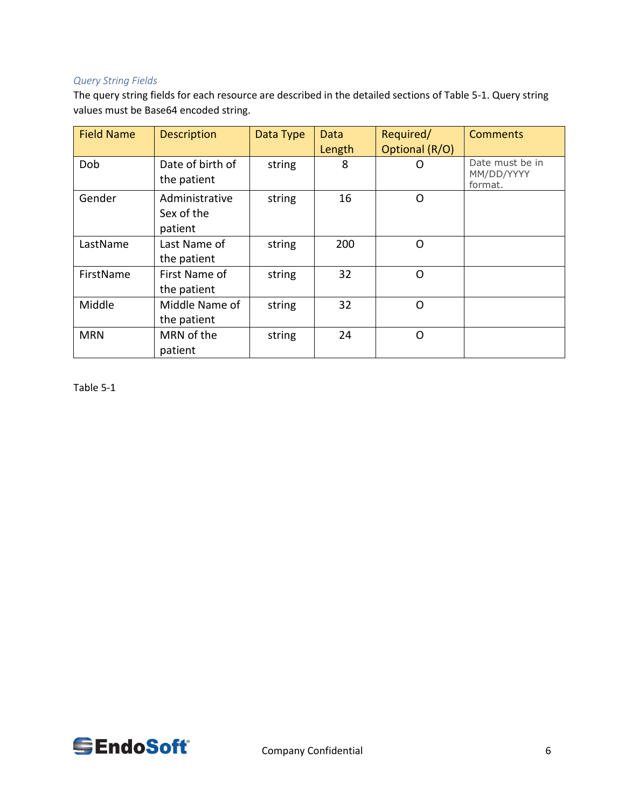## *Query String Fields*

The query string fields for each resource are described in the detailed sections of Table 5-1. Query string values must be Base64 encoded string.

| <b>Field Name</b> | <b>Description</b>                      | Data Type | Data<br>Length | Required/<br>Optional (R/O) | <b>Comments</b>                          |
|-------------------|-----------------------------------------|-----------|----------------|-----------------------------|------------------------------------------|
| Dob               | Date of birth of<br>the patient         | string    | 8              | Ω                           | Date must be in<br>MM/DD/YYYY<br>format. |
| Gender            | Administrative<br>Sex of the<br>patient | string    | 16             | O                           |                                          |
| LastName          | Last Name of<br>the patient             | string    | 200            | O                           |                                          |
| FirstName         | First Name of<br>the patient            | string    | 32             | O                           |                                          |
| Middle            | Middle Name of<br>the patient           | string    | 32             | O                           |                                          |
| <b>MRN</b>        | MRN of the<br>patient                   | string    | 24             | O                           |                                          |

Table 5-1

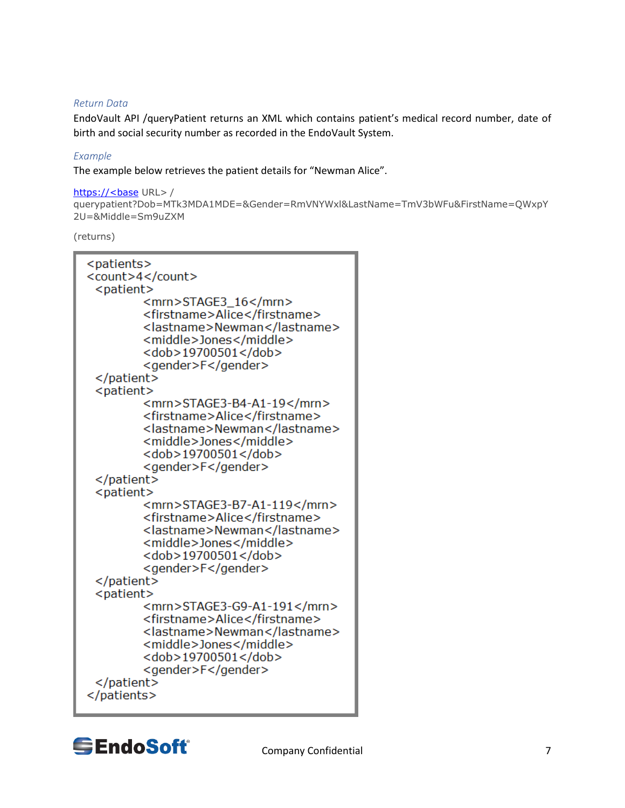#### *Return Data*

EndoVault API /queryPatient returns an XML which contains patient's medical record number, date of birth and social security number as recorded in the EndoVault System.

#### *Example*

The example below retrieves the patient details for "Newman Alice".

#### https://<br/>base URL>/

```
querypatient?Dob=MTk3MDA1MDE=&Gender=RmVNYWxl&LastName=TmV3bWFu&FirstName=QWxpY
2U=&Middle=Sm9uZXM
```
#### (returns)

| <patients></patients>                                                                                                                                                     |
|---------------------------------------------------------------------------------------------------------------------------------------------------------------------------|
| <count>4</count>                                                                                                                                                          |
| <patient></patient>                                                                                                                                                       |
| <mrn>STAGE3_16</mrn><br><firstname>Alice</firstname><br><lastname>Newman</lastname><br><middle>Jones</middle><br><dob>19700501</dob><br><gender>F</gender>                |
|                                                                                                                                                                           |
| <patient></patient>                                                                                                                                                       |
| <mrn>STAGE3-B4-A1-19</mrn><br><firstname>Alice</firstname><br><lastname>Newman</lastname><br><middle>Jones</middle><br><dob>19700501</dob><br><gender>F</gender>          |
|                                                                                                                                                                           |
| <patient></patient>                                                                                                                                                       |
| <mrn>STAGE3-B7-A1-119</mrn><br><firstname>Alice</firstname><br><lastname>Newman</lastname><br><middle>Jones</middle><br><dob>19700501</dob><br><gender>F</gender>         |
|                                                                                                                                                                           |
| <patient></patient>                                                                                                                                                       |
| <mrn>STAGE3-G9-A1-191</mrn><br><firstname>Alice</firstname><br><lastname>Newman</lastname><br><middle>Jones</middle><br><dob>19700501</dob><br><gender>F</gender><br><br> |
|                                                                                                                                                                           |



Company Confidential 7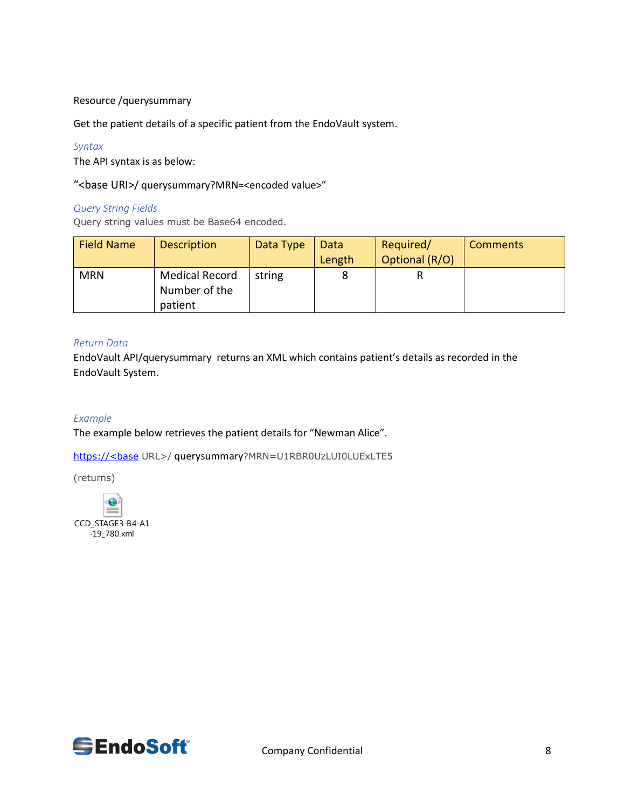#### Resource /querysummary

Get the patient details of a specific patient from the EndoVault system.

#### *Syntax*

The API syntax is as below:

#### "<br />base URI>/ querysummary?MRN=<encoded value>"

#### *Query String Fields*

Query string values must be Base64 encoded.

| <b>Field Name</b> | <b>Description</b> | Data Type | Data   | Required/      | <b>Comments</b> |
|-------------------|--------------------|-----------|--------|----------------|-----------------|
|                   |                    |           | Length | Optional (R/O) |                 |
| <b>MRN</b>        | Medical Record     | string    |        |                |                 |
|                   | Number of the      |           |        |                |                 |
|                   | patient            |           |        |                |                 |

#### *Return Data*

EndoVault API/querysummary returns an XML which contains patient's details as recorded in the EndoVault System.

### *Example*

The example below retrieves the patient details for "Newman Alice".

https://<br/>base URL>/ querysummary?MRN=U1RBR0UzLUI0LUExLTE5

(returns)



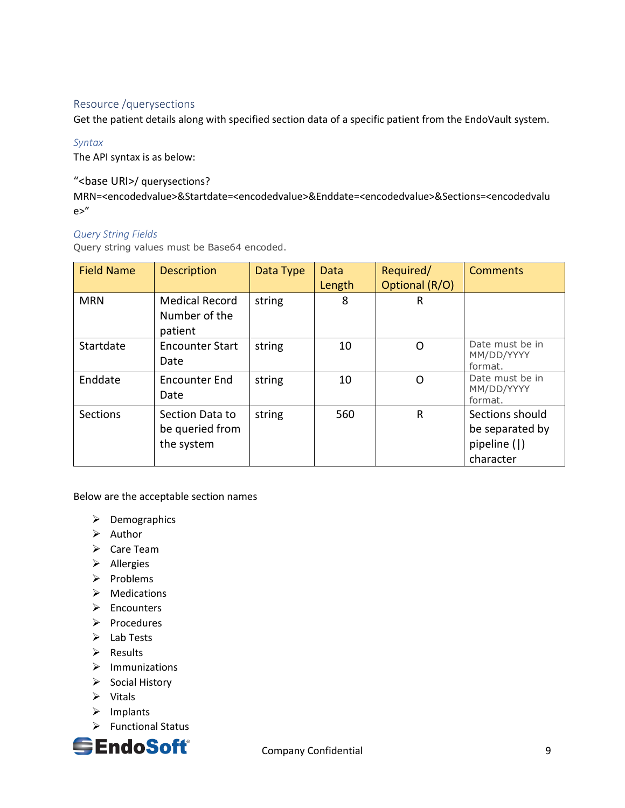## <span id="page-8-0"></span>Resource /querysections

Get the patient details along with specified section data of a specific patient from the EndoVault system.

#### *Syntax*

The API syntax is as below:

#### "<base URI>/ querysections?

MRN=<encodedvalue>&Startdate=<encodedvalue>&Enddate=<encodedvalue>&Sections=<encodedvalu e>"

#### *Query String Fields*

Query string values must be Base64 encoded.

| <b>Field Name</b> | <b>Description</b>                                | Data Type | Data<br>Length | Required/<br>Optional (R/O) | <b>Comments</b>                                                 |
|-------------------|---------------------------------------------------|-----------|----------------|-----------------------------|-----------------------------------------------------------------|
| <b>MRN</b>        | <b>Medical Record</b><br>Number of the<br>patient | string    | 8              | R                           |                                                                 |
| Startdate         | <b>Encounter Start</b><br>Date                    | string    | 10             | O                           | Date must be in<br>MM/DD/YYYY<br>format.                        |
| Enddate           | Encounter End<br>Date                             | string    | 10             | O                           | Date must be in<br>MM/DD/YYYY<br>format.                        |
| Sections          | Section Data to<br>be queried from<br>the system  | string    | 560            | R                           | Sections should<br>be separated by<br>pipeline ( )<br>character |

Below are the acceptable section names

- ➢ Demographics
- ➢ Author
- ➢ Care Team
- ➢ Allergies
- ➢ Problems
- ➢ Medications
- ➢ Encounters
- ➢ Procedures
- ➢ Lab Tests
- ➢ Results
- ➢ Immunizations
- ➢ Social History
- ➢ Vitals
- ➢ Implants
- ➢ Functional Status

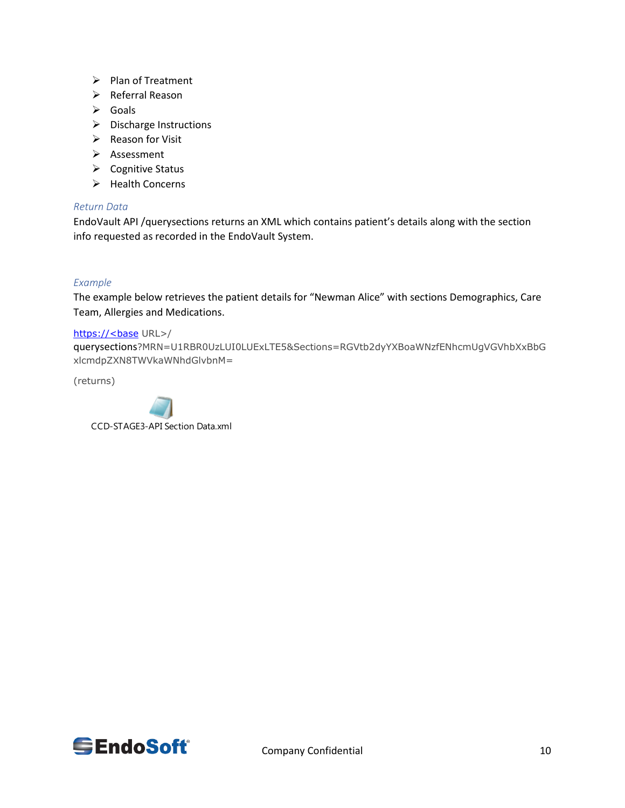- ➢ Plan of Treatment
- ➢ Referral Reason
- ➢ Goals
- ➢ Discharge Instructions
- ➢ Reason for Visit
- ➢ Assessment
- ➢ Cognitive Status
- ➢ Health Concerns

#### *Return Data*

EndoVault API /querysections returns an XML which contains patient's details along with the section info requested as recorded in the EndoVault System.

#### *Example*

The example below retrieves the patient details for "Newman Alice" with sections Demographics, Care Team, Allergies and Medications.

#### https://<br/>base URL>/

querysections?MRN=U1RBR0UzLUI0LUExLTE5&Sections=RGVtb2dyYXBoaWNzfENhcmUgVGVhbXxBbG xlcmdpZXN8TWVkaWNhdGlvbnM=

(returns)



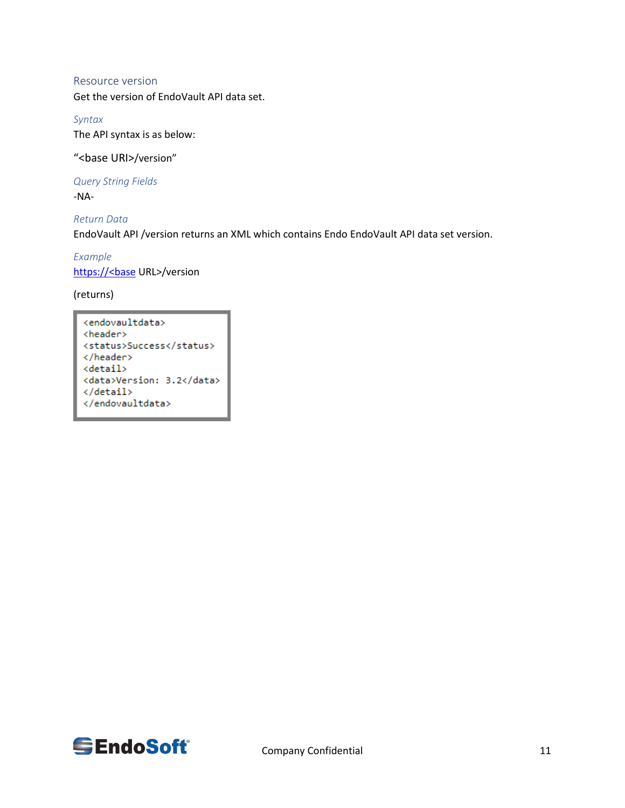#### <span id="page-10-0"></span>Resource version

Get the version of EndoVault API data set.

## *Syntax* The API syntax is as below:

"<base URI>/version"

*Query String Fields* -NA-

*Return Data* EndoVault API /version returns an XML which contains Endo EndoVault API data set version.

*Example* https://<br/>base URL>/version

(returns)

<endovaultdata> <header> <status>Success</status> </header> <detail> <data>Version: 3.2</data> </detail> </endovaultdata>

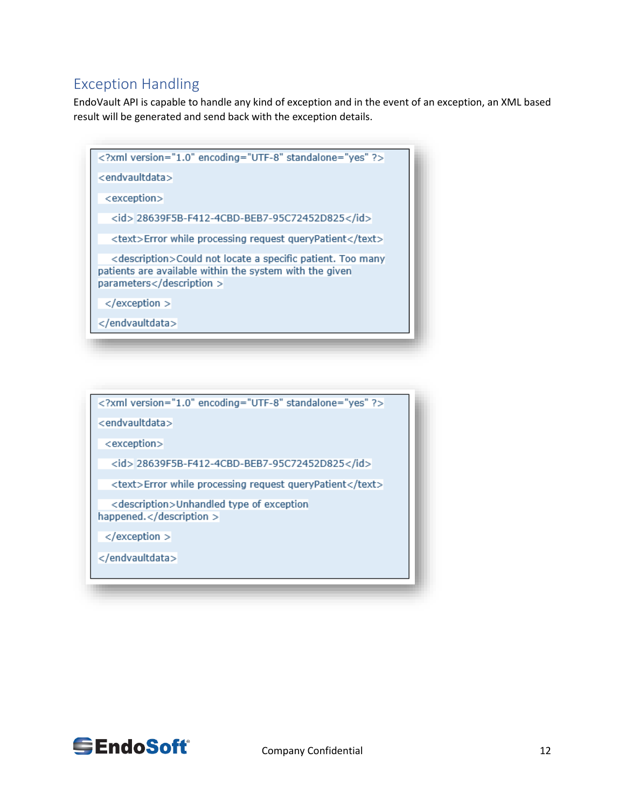## <span id="page-11-0"></span>Exception Handling

EndoVault API is capable to handle any kind of exception and in the event of an exception, an XML based result will be generated and send back with the exception details.

| xml version="1.0" encoding="UTF-8" standalone="yes" ?                                                                                               |
|-----------------------------------------------------------------------------------------------------------------------------------------------------|
| <endvaultdata></endvaultdata>                                                                                                                       |
| <exception></exception>                                                                                                                             |
| <id>28639F5B-F412-4CBD-BEB7-95C72452D825</id>                                                                                                       |
| <text>Error while processing request queryPatient</text>                                                                                            |
| <description>Could not locate a specific patient. Too many<br/>patients are available within the system with the given<br/>parameters</description> |
| $<$ /exception $>$                                                                                                                                  |
|                                                                                                                                                     |



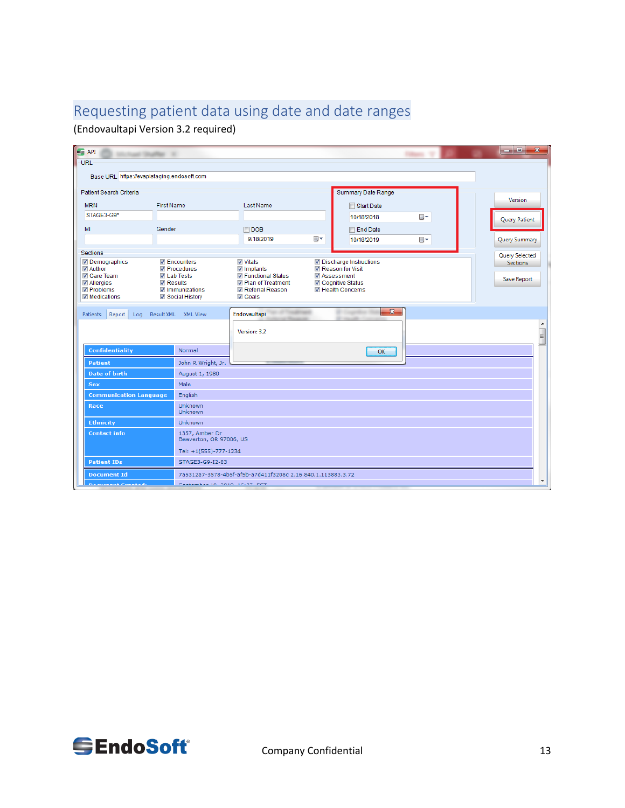# <span id="page-12-0"></span>Requesting patient data using date and date ranges

(Endovaultapi Version 3.2 required)

| $\epsilon$<br>Last Studies                                                                                                                                                                         |                                           |                                                                                                 |                |                                                                                                         |                | $\overline{\phantom{a}}$<br>$\overline{\mathbf{x}}$ |
|----------------------------------------------------------------------------------------------------------------------------------------------------------------------------------------------------|-------------------------------------------|-------------------------------------------------------------------------------------------------|----------------|---------------------------------------------------------------------------------------------------------|----------------|-----------------------------------------------------|
| URL                                                                                                                                                                                                |                                           |                                                                                                 |                |                                                                                                         |                |                                                     |
| Base URL https://evapistaging.endosoft.com                                                                                                                                                         |                                           |                                                                                                 |                |                                                                                                         |                |                                                     |
|                                                                                                                                                                                                    |                                           |                                                                                                 |                |                                                                                                         |                |                                                     |
| <b>Patient Search Criteria</b>                                                                                                                                                                     |                                           |                                                                                                 |                | Summary Date Range                                                                                      |                | Version                                             |
| <b>MRN</b>                                                                                                                                                                                         | <b>First Name</b>                         | Last Name                                                                                       |                | Start Date                                                                                              |                |                                                     |
| STAGE3-G9*                                                                                                                                                                                         |                                           |                                                                                                 |                | 10/18/2018                                                                                              | $\blacksquare$ | Query Patient                                       |
| MI                                                                                                                                                                                                 | Gender                                    | $\Box$ DOB                                                                                      |                | <b>End Date</b>                                                                                         |                |                                                     |
|                                                                                                                                                                                                    |                                           | 9/18/2019                                                                                       | $\blacksquare$ | 10/18/2019                                                                                              | $\blacksquare$ | Query Summary                                       |
| Sections                                                                                                                                                                                           |                                           |                                                                                                 |                |                                                                                                         |                | Query Selected                                      |
| Demographics<br>$\nabla$ Encounters<br><b>V</b> Author<br><b>V</b> Procedures<br>Care Team<br><b>V</b> Lab Tests<br><b>√</b> Allergies<br><b>V</b> Results<br><b>√</b> Problems<br>V Immunizations |                                           | <b>Vitals</b><br>Implants<br><b>√</b> Functional Status<br>Plan of Treatment<br>Referral Reason | Assessment     | √ Discharge Instructions<br><b>V</b> Reason for Visit<br>√ Cognitive Status<br><b>V</b> Health Concerns |                | Sections.<br>Save Report                            |
| $\sqrt{ }$ Medications                                                                                                                                                                             | <b>√ Social History</b>                   | <b>√</b> Goals                                                                                  |                |                                                                                                         |                |                                                     |
| Patients<br>Report<br>Log                                                                                                                                                                          | Result XML XML View                       | Endovaultapi<br>Version: 3.2                                                                    |                | $\mathbf{x}$                                                                                            |                | $\begin{array}{c} \square \end{array}$              |
| <b>Confidentiality</b>                                                                                                                                                                             | Normal                                    |                                                                                                 |                | OK                                                                                                      |                |                                                     |
| <b>Patient</b>                                                                                                                                                                                     | John R Wright, Jr.                        |                                                                                                 |                |                                                                                                         |                |                                                     |
| <b>Date of birth</b>                                                                                                                                                                               | August 1, 1980                            |                                                                                                 |                |                                                                                                         |                |                                                     |
| Sex                                                                                                                                                                                                | Male                                      |                                                                                                 |                |                                                                                                         |                |                                                     |
| <b>Communication Language</b>                                                                                                                                                                      | English                                   |                                                                                                 |                |                                                                                                         |                |                                                     |
| Race                                                                                                                                                                                               | Unknown<br>Unknown                        |                                                                                                 |                |                                                                                                         |                |                                                     |
| <b>Ethnicity</b>                                                                                                                                                                                   | Unknown                                   |                                                                                                 |                |                                                                                                         |                |                                                     |
| <b>Contact info</b>                                                                                                                                                                                | 1357, Amber Dr<br>Beaverton, OR 97006, US |                                                                                                 |                |                                                                                                         |                |                                                     |
|                                                                                                                                                                                                    | Tel: +1(555)-777-1234                     |                                                                                                 |                |                                                                                                         |                |                                                     |
| <b>Patient IDs</b>                                                                                                                                                                                 | STAGE3-G9-I2-83                           |                                                                                                 |                |                                                                                                         |                |                                                     |
| <b>Document Id</b>                                                                                                                                                                                 |                                           | 7a5312a7-3578-4b5f-af5b-a7d411f3208c 2.16.840.1.113883.3.72                                     |                |                                                                                                         |                |                                                     |
|                                                                                                                                                                                                    | Postessbergen note scing com              |                                                                                                 |                |                                                                                                         |                |                                                     |

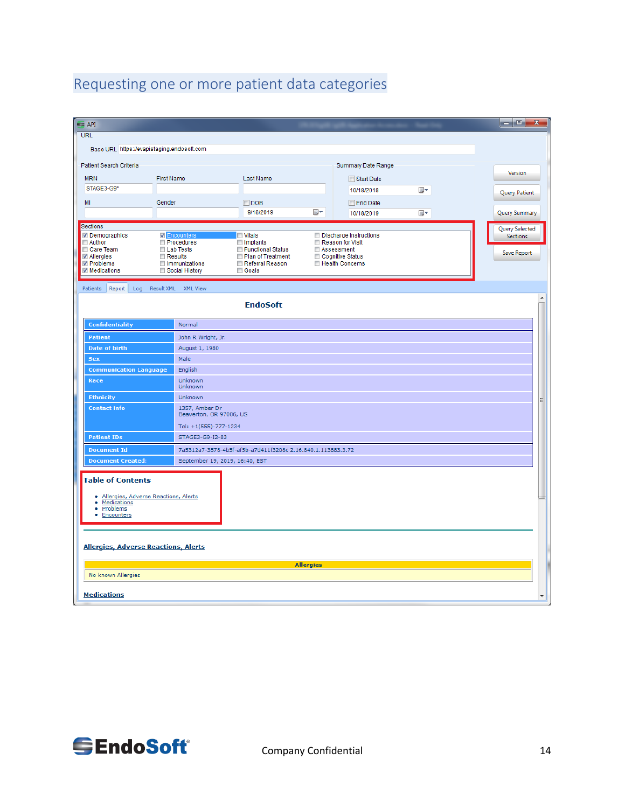# <span id="page-13-0"></span>Requesting one or more patient data categories

| $=$ API                                                                                                                               |                                                                                                                           |                                                                                                          |                  |                                                                                                 |    |               | الهارص<br>33                                     |  |
|---------------------------------------------------------------------------------------------------------------------------------------|---------------------------------------------------------------------------------------------------------------------------|----------------------------------------------------------------------------------------------------------|------------------|-------------------------------------------------------------------------------------------------|----|---------------|--------------------------------------------------|--|
| <b>URL</b>                                                                                                                            |                                                                                                                           |                                                                                                          |                  |                                                                                                 |    |               |                                                  |  |
| Base URL https://evapistaging.endosoft.com                                                                                            |                                                                                                                           |                                                                                                          |                  |                                                                                                 |    |               |                                                  |  |
| Patient Search Criteria                                                                                                               |                                                                                                                           |                                                                                                          |                  | Summary Date Range                                                                              |    |               |                                                  |  |
| <b>MRN</b>                                                                                                                            | <b>First Name</b>                                                                                                         | Last Name                                                                                                |                  | Start Date                                                                                      |    |               | Version                                          |  |
| STAGE3-G9*                                                                                                                            |                                                                                                                           |                                                                                                          | 10/18/2018       | $\blacksquare$                                                                                  |    | Query Patient |                                                  |  |
| MI                                                                                                                                    | Gender                                                                                                                    | $\Box$ DOB                                                                                               |                  | End Date                                                                                        |    |               |                                                  |  |
|                                                                                                                                       |                                                                                                                           | 9/18/2019                                                                                                | ⊞▼               | 10/18/2019                                                                                      | ⊞▼ |               | Query Summary                                    |  |
| <b>Sections</b>                                                                                                                       |                                                                                                                           |                                                                                                          |                  |                                                                                                 |    |               |                                                  |  |
| <b>√</b> Demographics<br>$\Box$ Author<br>Care Team<br>√ Allergies<br><b>√</b> Problems<br>√ Medications                              | <b>Z</b> Encounters<br><b>Procedures</b><br>Lab Tests<br>$\blacksquare$ Results<br><b>Immunizations</b><br>Social History | <b>■ Vitals</b><br>$\Box$ Implants<br>Functional Status<br>Plan of Treatment<br>Referral Reason<br>Goals |                  | Discharge Instructions<br>Reason for Visit<br>Assessment<br>Cognitive Status<br>Health Concerns |    |               | Query Selected<br><b>Sections</b><br>Save Report |  |
| Patients<br>Report<br>Log                                                                                                             | Result XML XML View                                                                                                       |                                                                                                          |                  |                                                                                                 |    |               |                                                  |  |
|                                                                                                                                       |                                                                                                                           | <b>EndoSoft</b>                                                                                          |                  |                                                                                                 |    |               |                                                  |  |
|                                                                                                                                       |                                                                                                                           |                                                                                                          |                  |                                                                                                 |    |               |                                                  |  |
| <b>Confidentiality</b>                                                                                                                | Normal                                                                                                                    |                                                                                                          |                  |                                                                                                 |    |               |                                                  |  |
| <b>Patient</b>                                                                                                                        | John R Wright, Jr.                                                                                                        |                                                                                                          |                  |                                                                                                 |    |               |                                                  |  |
| <b>Date of birth</b>                                                                                                                  | August 1, 1980                                                                                                            |                                                                                                          |                  |                                                                                                 |    |               |                                                  |  |
| Sex                                                                                                                                   | Male                                                                                                                      |                                                                                                          |                  |                                                                                                 |    |               |                                                  |  |
| <b>Communication Language</b>                                                                                                         | English                                                                                                                   |                                                                                                          |                  |                                                                                                 |    |               |                                                  |  |
| Race                                                                                                                                  | Unknown<br>Unknown                                                                                                        |                                                                                                          |                  |                                                                                                 |    |               |                                                  |  |
| <b>Ethnicity</b>                                                                                                                      | Unknown                                                                                                                   |                                                                                                          |                  |                                                                                                 |    |               |                                                  |  |
| <b>Contact info</b>                                                                                                                   | 1357, Amber Dr<br>Beaverton, OR 97006, US<br>Tel: +1(555)-777-1234                                                        |                                                                                                          |                  |                                                                                                 |    |               |                                                  |  |
| <b>Patient IDs</b>                                                                                                                    | STAGE3-G9-I2-83                                                                                                           |                                                                                                          |                  |                                                                                                 |    |               |                                                  |  |
| <b>Document Id</b>                                                                                                                    |                                                                                                                           | 7a5312a7-3578-4b5f-af5b-a7d411f3208c 2.16.840.1.113883.3.72                                              |                  |                                                                                                 |    |               |                                                  |  |
| <b>Document Created:</b>                                                                                                              | September 19, 2019, 16:40, EST                                                                                            |                                                                                                          |                  |                                                                                                 |    |               |                                                  |  |
| <b>Table of Contents</b><br>Allergies, Adverse Reactions, Alerts<br>۰<br>Medications<br>٠<br>۰<br>Problems<br>Encounters<br>$\bullet$ |                                                                                                                           |                                                                                                          |                  |                                                                                                 |    |               |                                                  |  |
| <b>Allergies, Adverse Reactions, Alerts</b>                                                                                           |                                                                                                                           |                                                                                                          |                  |                                                                                                 |    |               |                                                  |  |
|                                                                                                                                       |                                                                                                                           |                                                                                                          | <b>Allergies</b> |                                                                                                 |    |               |                                                  |  |
| No known Allergies                                                                                                                    |                                                                                                                           |                                                                                                          |                  |                                                                                                 |    |               |                                                  |  |
| <b>Medications</b>                                                                                                                    |                                                                                                                           |                                                                                                          |                  |                                                                                                 |    |               |                                                  |  |

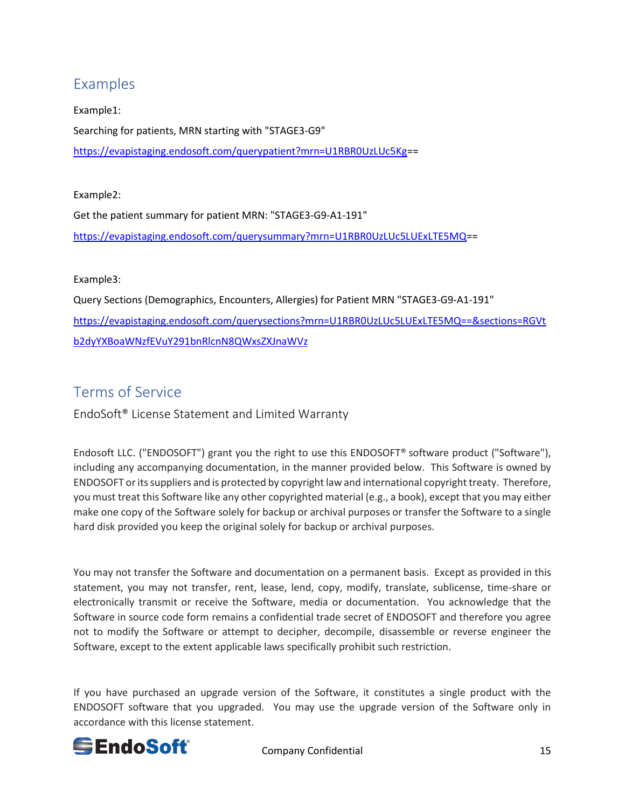# <span id="page-14-0"></span>Examples

Example1: Searching for patients, MRN starting with "STAGE3-G9" [https://evapistaging.endosoft.com/querypatient?mrn=U1RBR0UzLUc5Kg=](https://evapistaging.endosoft.com/querypatient?mrn=U1RBR0UzLUc5Kg)=

### Example2:

Get the patient summary for patient MRN: "STAGE3-G9-A1-191" [https://evapistaging.endosoft.com/querysummary?mrn=U1RBR0UzLUc5LUExLTE5MQ=](https://evapistaging.endosoft.com/querysummary?mrn=U1RBR0UzLUc5LUExLTE5MQ)=

## Example3:

Query Sections (Demographics, Encounters, Allergies) for Patient MRN "STAGE3-G9-A1-191" [https://evapistaging.endosoft.com/querysections?mrn=U1RBR0UzLUc5LUExLTE5MQ==&sections=RGVt](https://evapistaging.endosoft.com/querysections?mrn=U1RBR0UzLUc5LUExLTE5MQ==§ions=RGVtb2dyYXBoaWNzfEVuY291bnRlcnN8QWxsZXJnaWVz) [b2dyYXBoaWNzfEVuY291bnRlcnN8QWxsZXJnaWVz](https://evapistaging.endosoft.com/querysections?mrn=U1RBR0UzLUc5LUExLTE5MQ==§ions=RGVtb2dyYXBoaWNzfEVuY291bnRlcnN8QWxsZXJnaWVz)

# <span id="page-14-1"></span>Terms of Service

<span id="page-14-2"></span>EndoSoft® License Statement and Limited Warranty

Endosoft LLC. ("ENDOSOFT") grant you the right to use this ENDOSOFT® software product ("Software"), including any accompanying documentation, in the manner provided below. This Software is owned by ENDOSOFT or its suppliers and is protected by copyright law and international copyright treaty. Therefore, you must treat this Software like any other copyrighted material (e.g., a book), except that you may either make one copy of the Software solely for backup or archival purposes or transfer the Software to a single hard disk provided you keep the original solely for backup or archival purposes.

You may not transfer the Software and documentation on a permanent basis. Except as provided in this statement, you may not transfer, rent, lease, lend, copy, modify, translate, sublicense, time-share or electronically transmit or receive the Software, media or documentation. You acknowledge that the Software in source code form remains a confidential trade secret of ENDOSOFT and therefore you agree not to modify the Software or attempt to decipher, decompile, disassemble or reverse engineer the Software, except to the extent applicable laws specifically prohibit such restriction.

If you have purchased an upgrade version of the Software, it constitutes a single product with the ENDOSOFT software that you upgraded. You may use the upgrade version of the Software only in accordance with this license statement.



Company Confidential 15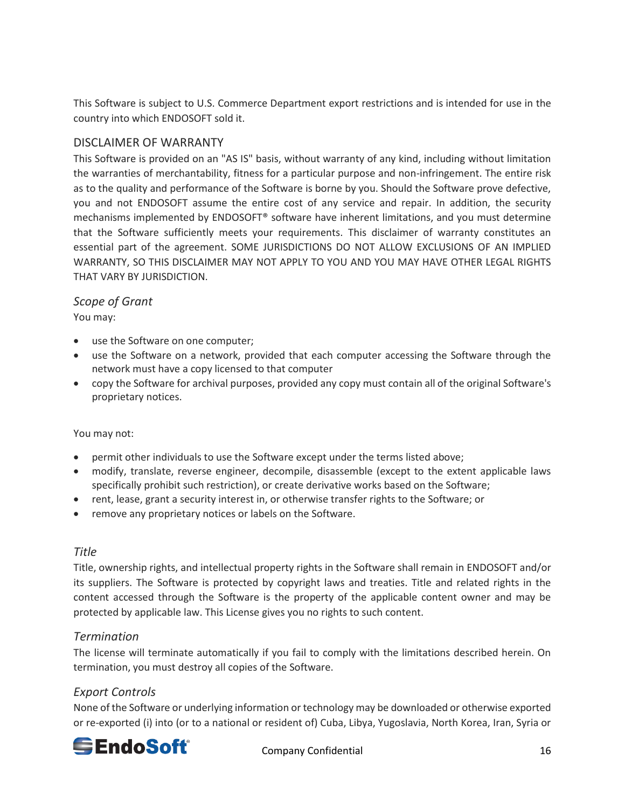This Software is subject to U.S. Commerce Department export restrictions and is intended for use in the country into which ENDOSOFT sold it.

## <span id="page-15-0"></span>DISCLAIMER OF WARRANTY

This Software is provided on an "AS IS" basis, without warranty of any kind, including without limitation the warranties of merchantability, fitness for a particular purpose and non-infringement. The entire risk as to the quality and performance of the Software is borne by you. Should the Software prove defective, you and not ENDOSOFT assume the entire cost of any service and repair. In addition, the security mechanisms implemented by ENDOSOFT® software have inherent limitations, and you must determine that the Software sufficiently meets your requirements. This disclaimer of warranty constitutes an essential part of the agreement. SOME JURISDICTIONS DO NOT ALLOW EXCLUSIONS OF AN IMPLIED WARRANTY, SO THIS DISCLAIMER MAY NOT APPLY TO YOU AND YOU MAY HAVE OTHER LEGAL RIGHTS THAT VARY BY JURISDICTION.

## <span id="page-15-1"></span>*Scope of Grant*

You may:

- use the Software on one computer;
- use the Software on a network, provided that each computer accessing the Software through the network must have a copy licensed to that computer
- copy the Software for archival purposes, provided any copy must contain all of the original Software's proprietary notices.

## You may not:

- permit other individuals to use the Software except under the terms listed above;
- modify, translate, reverse engineer, decompile, disassemble (except to the extent applicable laws specifically prohibit such restriction), or create derivative works based on the Software;
- rent, lease, grant a security interest in, or otherwise transfer rights to the Software; or
- remove any proprietary notices or labels on the Software.

## <span id="page-15-2"></span>*Title*

Title, ownership rights, and intellectual property rights in the Software shall remain in ENDOSOFT and/or its suppliers. The Software is protected by copyright laws and treaties. Title and related rights in the content accessed through the Software is the property of the applicable content owner and may be protected by applicable law. This License gives you no rights to such content.

## <span id="page-15-3"></span>*Termination*

The license will terminate automatically if you fail to comply with the limitations described herein. On termination, you must destroy all copies of the Software.

## <span id="page-15-4"></span>*Export Controls*

None of the Software or underlying information or technology may be downloaded or otherwise exported or re-exported (i) into (or to a national or resident of) Cuba, Libya, Yugoslavia, North Korea, Iran, Syria or